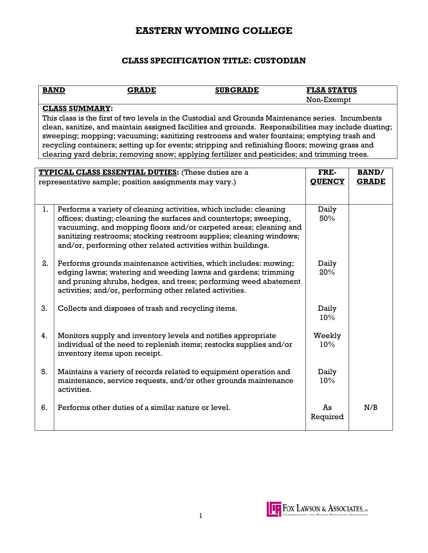# **EASTERN WYOMING COLLEGE**

## **CLASS SPECIFICATION TITLE: CUSTODIAN**

| <b>BAND</b>                                                                                                                                                                                                                                                                                                                                                                                                                                                                                                                         | <b>SUBGRADE</b><br><b>GRADE</b>                                                                                                                                                                                                                                                                                                                       | <b>FLSA STATUS</b> |              |
|-------------------------------------------------------------------------------------------------------------------------------------------------------------------------------------------------------------------------------------------------------------------------------------------------------------------------------------------------------------------------------------------------------------------------------------------------------------------------------------------------------------------------------------|-------------------------------------------------------------------------------------------------------------------------------------------------------------------------------------------------------------------------------------------------------------------------------------------------------------------------------------------------------|--------------------|--------------|
|                                                                                                                                                                                                                                                                                                                                                                                                                                                                                                                                     |                                                                                                                                                                                                                                                                                                                                                       | Non-Exempt         |              |
| <b>CLASS SUMMARY:</b><br>This class is the first of two levels in the Custodial and Grounds Maintenance series. Incumbents<br>clean, sanitize, and maintain assigned facilities and grounds. Responsibilities may include dusting;<br>sweeping; mopping; vacuuming; sanitizing restrooms and water fountains; emptying trash and<br>recycling containers; setting up for events; stripping and refinishing floors; mowing grass and<br>clearing yard debris; removing snow; applying fertilizer and pesticides; and trimming trees. |                                                                                                                                                                                                                                                                                                                                                       |                    |              |
| FRE-<br><b>TYPICAL CLASS ESSENTIAL DUTIES:</b> (These duties are a<br><b>BAND/</b>                                                                                                                                                                                                                                                                                                                                                                                                                                                  |                                                                                                                                                                                                                                                                                                                                                       |                    |              |
|                                                                                                                                                                                                                                                                                                                                                                                                                                                                                                                                     | representative sample; position assignments may vary.)                                                                                                                                                                                                                                                                                                | <b>QUENCY</b>      | <b>GRADE</b> |
|                                                                                                                                                                                                                                                                                                                                                                                                                                                                                                                                     |                                                                                                                                                                                                                                                                                                                                                       |                    |              |
| 1.                                                                                                                                                                                                                                                                                                                                                                                                                                                                                                                                  | Performs a variety of cleaning activities, which include: cleaning<br>offices; dusting; cleaning the surfaces and countertops; sweeping,<br>vacuuming, and mopping floors and/or carpeted areas; cleaning and<br>sanitizing restrooms; stocking restroom supplies; cleaning windows;<br>and/or, performing other related activities within buildings. | Daily<br>50%       |              |
| 2.                                                                                                                                                                                                                                                                                                                                                                                                                                                                                                                                  | Performs grounds maintenance activities, which includes: mowing;<br>edging lawns; watering and weeding lawns and gardens; trimming<br>and pruning shrubs, hedges, and trees; performing weed abatement<br>activities; and/or, performing other related activities.                                                                                    | Daily<br>20%       |              |
| 3.                                                                                                                                                                                                                                                                                                                                                                                                                                                                                                                                  | Collects and disposes of trash and recycling items.                                                                                                                                                                                                                                                                                                   | Daily<br>10%       |              |
| 4.                                                                                                                                                                                                                                                                                                                                                                                                                                                                                                                                  | Monitors supply and inventory levels and notifies appropriate<br>individual of the need to replenish items; restocks supplies and/or<br>inventory items upon receipt.                                                                                                                                                                                 | Weekly<br>10%      |              |
| 5.                                                                                                                                                                                                                                                                                                                                                                                                                                                                                                                                  | Maintains a variety of records related to equipment operation and<br>maintenance, service requests, and/or other grounds maintenance<br>activities.                                                                                                                                                                                                   | Daily<br>10%       |              |
| 6.                                                                                                                                                                                                                                                                                                                                                                                                                                                                                                                                  | Performs other duties of a similar nature or level.                                                                                                                                                                                                                                                                                                   | Ās<br>Required     | N/B          |

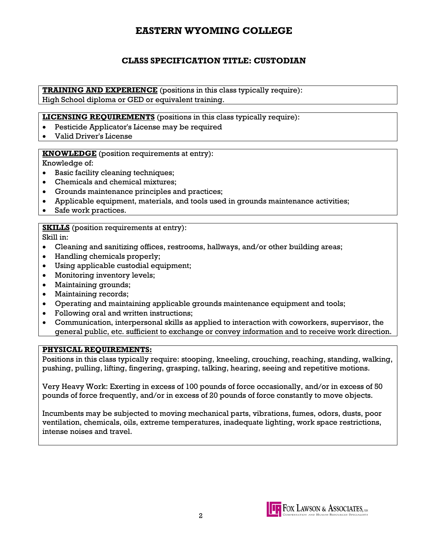# **EASTERN WYOMING COLLEGE**

## **CLASS SPECIFICATION TITLE: CUSTODIAN**

**TRAINING AND EXPERIENCE** (positions in this class typically require): High School diploma or GED or equivalent training.

**LICENSING REQUIREMENTS** (positions in this class typically require):

- Pesticide Applicator's License may be required
- Valid Driver's License

### **KNOWLEDGE** (position requirements at entry):

Knowledge of:

- Basic facility cleaning techniques;
- Chemicals and chemical mixtures;
- Grounds maintenance principles and practices;
- Applicable equipment, materials, and tools used in grounds maintenance activities;
- Safe work practices.

#### **SKILLS** (position requirements at entry):

Skill in:

- Cleaning and sanitizing offices, restrooms, hallways, and/or other building areas;
- Handling chemicals properly;
- Using applicable custodial equipment;
- Monitoring inventory levels;
- Maintaining grounds;
- Maintaining records;
- Operating and maintaining applicable grounds maintenance equipment and tools;
- Following oral and written instructions;
- Communication, interpersonal skills as applied to interaction with coworkers, supervisor, the general public, etc. sufficient to exchange or convey information and to receive work direction.

### **PHYSICAL REQUIREMENTS:**

Positions in this class typically require: stooping, kneeling, crouching, reaching, standing, walking, pushing, pulling, lifting, fingering, grasping, talking, hearing, seeing and repetitive motions.

Very Heavy Work: Exerting in excess of 100 pounds of force occasionally, and/or in excess of 50 pounds of force frequently, and/or in excess of 20 pounds of force constantly to move objects.

Incumbents may be subjected to moving mechanical parts, vibrations, fumes, odors, dusts, poor ventilation, chemicals, oils, extreme temperatures, inadequate lighting, work space restrictions, intense noises and travel.